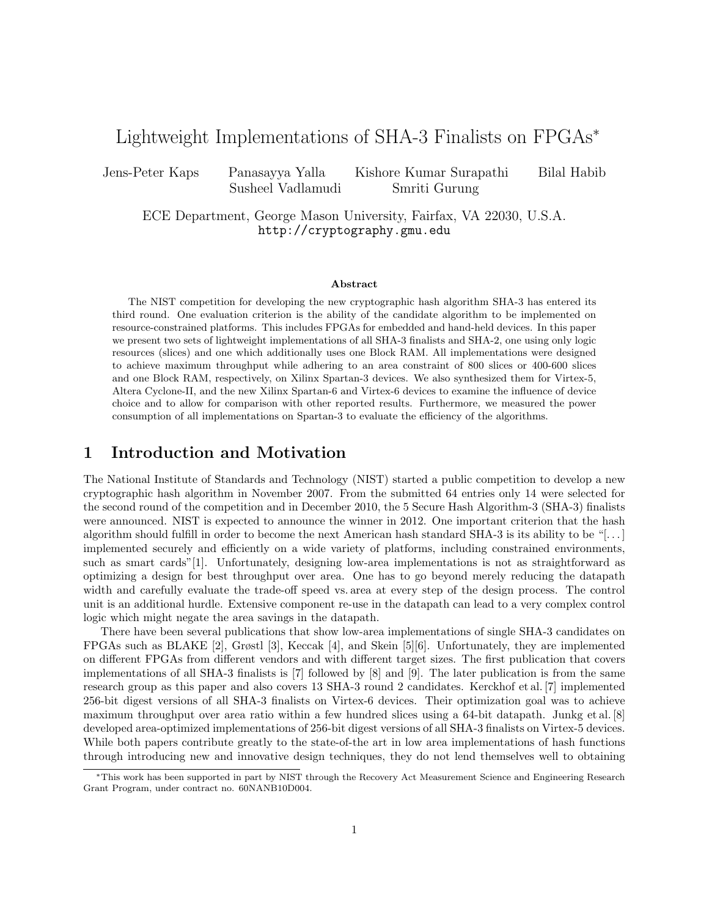# Lightweight Implementations of SHA-3 Finalists on FPGAs*\**

Jens-Peter Kaps Panasayya Yalla Kishore Kumar Surapathi Bilal Habib Susheel Vadlamudi Smriti Gurung

ECE Department, George Mason University, Fairfax, VA 22030, U.S.A. http://cryptography.gmu.edu

#### **Abstract**

The NIST competition for developing the new cryptographic hash algorithm SHA-3 has entered its third round. One evaluation criterion is the ability of the candidate algorithm to be implemented on resource-constrained platforms. This includes FPGAs for embedded and hand-held devices. In this paper we present two sets of lightweight implementations of all SHA-3 finalists and SHA-2, one using only logic resources (slices) and one which additionally uses one Block RAM. All implementations were designed to achieve maximum throughput while adhering to an area constraint of 800 slices or 400-600 slices and one Block RAM, respectively, on Xilinx Spartan-3 devices. We also synthesized them for Virtex-5, Altera Cyclone-II, and the new Xilinx Spartan-6 and Virtex-6 devices to examine the influence of device choice and to allow for comparison with other reported results. Furthermore, we measured the power consumption of all implementations on Spartan-3 to evaluate the efficiency of the algorithms.

#### **1 Introduction and Motivation**

The National Institute of Standards and Technology (NIST) started a public competition to develop a new cryptographic hash algorithm in November 2007. From the submitted 64 entries only 14 were selected for the second round of the competition and in December 2010, the 5 Secure Hash Algorithm-3 (SHA-3) finalists were announced. NIST is expected to announce the winner in 2012. One important criterion that the hash algorithm should fulfill in order to become the next American hash standard SHA-3 is its ability to be "[. . . ] implemented securely and efficiently on a wide variety of platforms, including constrained environments, such as smart cards"[1]. Unfortunately, designing low-area implementations is not as straightforward as optimizing a design for best throughput over area. One has to go beyond merely reducing the datapath width and carefully evaluate the trade-off speed vs. area at every step of the design process. The control unit is an additional hurdle. Extensive component re-use in the datapath can lead to a very complex control logic which might negate the area savings in the datapath.

There have been several publications that show low-area implementations of single SHA-3 candidates on FPGAs such as BLAKE [2], Grøstl [3], Keccak [4], and Skein [5][6]. Unfortunately, they are implemented on different FPGAs from different vendors and with different target sizes. The first publication that covers implementations of all SHA-3 finalists is [7] followed by [8] and [9]. The later publication is from the same research group as this paper and also covers 13 SHA-3 round 2 candidates. Kerckhof et al. [7] implemented 256-bit digest versions of all SHA-3 finalists on Virtex-6 devices. Their optimization goal was to achieve maximum throughput over area ratio within a few hundred slices using a 64-bit datapath. Junkg et al. [8] developed area-optimized implementations of 256-bit digest versions of all SHA-3 finalists on Virtex-5 devices. While both papers contribute greatly to the state-of-the art in low area implementations of hash functions through introducing new and innovative design techniques, they do not lend themselves well to obtaining

*<sup>&#</sup>x27;*This work has been supported in part by NIST through the Recovery Act Measurement Science and Engineering Research Grant Program, under contract no. 60NANB10D004.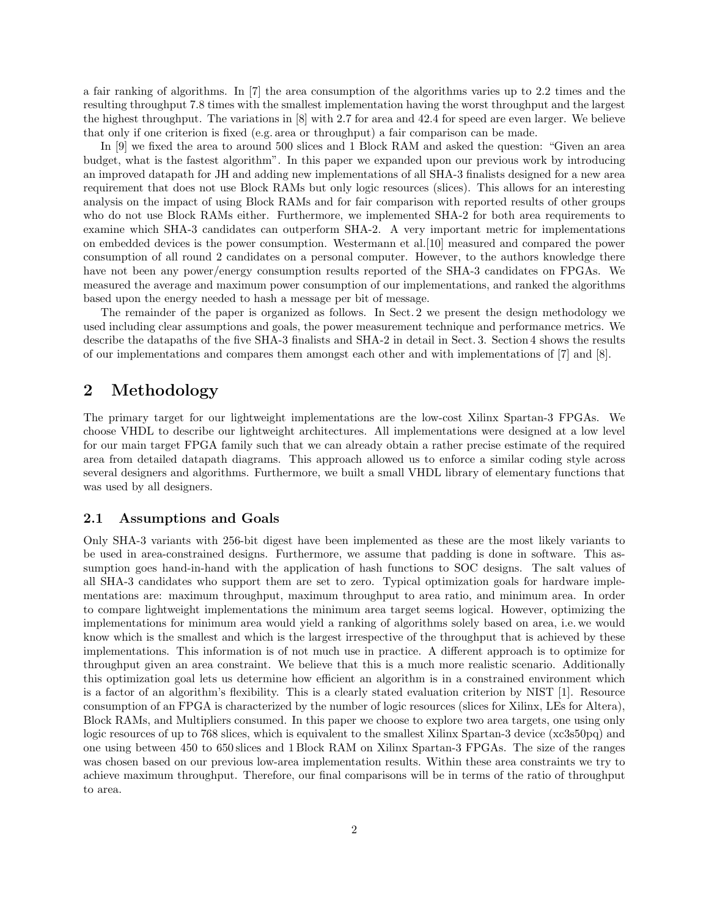a fair ranking of algorithms. In [7] the area consumption of the algorithms varies up to 2.2 times and the resulting throughput 7.8 times with the smallest implementation having the worst throughput and the largest the highest throughput. The variations in [8] with 2.7 for area and 42.4 for speed are even larger. We believe that only if one criterion is fixed (e.g. area or throughput) a fair comparison can be made.

In [9] we fixed the area to around 500 slices and 1 Block RAM and asked the question: "Given an area budget, what is the fastest algorithm". In this paper we expanded upon our previous work by introducing an improved datapath for JH and adding new implementations of all SHA-3 finalists designed for a new area requirement that does not use Block RAMs but only logic resources (slices). This allows for an interesting analysis on the impact of using Block RAMs and for fair comparison with reported results of other groups who do not use Block RAMs either. Furthermore, we implemented SHA-2 for both area requirements to examine which SHA-3 candidates can outperform SHA-2. A very important metric for implementations on embedded devices is the power consumption. Westermann et al.[10] measured and compared the power consumption of all round 2 candidates on a personal computer. However, to the authors knowledge there have not been any power/energy consumption results reported of the SHA-3 candidates on FPGAs. We measured the average and maximum power consumption of our implementations, and ranked the algorithms based upon the energy needed to hash a message per bit of message.

The remainder of the paper is organized as follows. In Sect. 2 we present the design methodology we used including clear assumptions and goals, the power measurement technique and performance metrics. We describe the datapaths of the five SHA-3 finalists and SHA-2 in detail in Sect. 3. Section 4 shows the results of our implementations and compares them amongst each other and with implementations of [7] and [8].

## **2 Methodology**

The primary target for our lightweight implementations are the low-cost Xilinx Spartan-3 FPGAs. We choose VHDL to describe our lightweight architectures. All implementations were designed at a low level for our main target FPGA family such that we can already obtain a rather precise estimate of the required area from detailed datapath diagrams. This approach allowed us to enforce a similar coding style across several designers and algorithms. Furthermore, we built a small VHDL library of elementary functions that was used by all designers.

#### **2.1 Assumptions and Goals**

Only SHA-3 variants with 256-bit digest have been implemented as these are the most likely variants to be used in area-constrained designs. Furthermore, we assume that padding is done in software. This assumption goes hand-in-hand with the application of hash functions to SOC designs. The salt values of all SHA-3 candidates who support them are set to zero. Typical optimization goals for hardware implementations are: maximum throughput, maximum throughput to area ratio, and minimum area. In order to compare lightweight implementations the minimum area target seems logical. However, optimizing the implementations for minimum area would yield a ranking of algorithms solely based on area, i.e. we would know which is the smallest and which is the largest irrespective of the throughput that is achieved by these implementations. This information is of not much use in practice. A different approach is to optimize for throughput given an area constraint. We believe that this is a much more realistic scenario. Additionally this optimization goal lets us determine how efficient an algorithm is in a constrained environment which is a factor of an algorithm's flexibility. This is a clearly stated evaluation criterion by NIST [1]. Resource consumption of an FPGA is characterized by the number of logic resources (slices for Xilinx, LEs for Altera), Block RAMs, and Multipliers consumed. In this paper we choose to explore two area targets, one using only logic resources of up to 768 slices, which is equivalent to the smallest Xilinx Spartan-3 device (xc3s50pq) and one using between 450 to 650 slices and 1 Block RAM on Xilinx Spartan-3 FPGAs. The size of the ranges was chosen based on our previous low-area implementation results. Within these area constraints we try to achieve maximum throughput. Therefore, our final comparisons will be in terms of the ratio of throughput to area.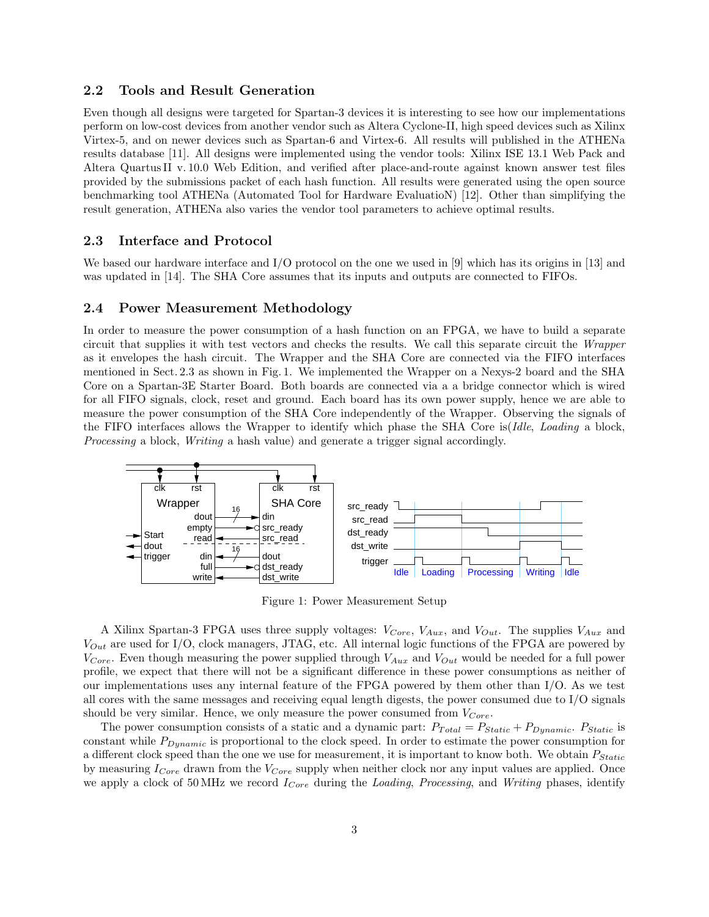#### **2.2 Tools and Result Generation**

Even though all designs were targeted for Spartan-3 devices it is interesting to see how our implementations perform on low-cost devices from another vendor such as Altera Cyclone-II, high speed devices such as Xilinx Virtex-5, and on newer devices such as Spartan-6 and Virtex-6. All results will published in the ATHENa results database [11]. All designs were implemented using the vendor tools: Xilinx ISE 13.1 Web Pack and Altera QuartusII v. 10.0 Web Edition, and verified after place-and-route against known answer test files provided by the submissions packet of each hash function. All results were generated using the open source benchmarking tool ATHENa (Automated Tool for Hardware EvaluatioN) [12]. Other than simplifying the result generation, ATHENa also varies the vendor tool parameters to achieve optimal results.

### **2.3 Interface and Protocol**

We based our hardware interface and I/O protocol on the one we used in [9] which has its origins in [13] and was updated in [14]. The SHA Core assumes that its inputs and outputs are connected to FIFOs.

#### **2.4 Power Measurement Methodology**

In order to measure the power consumption of a hash function on an FPGA, we have to build a separate circuit that supplies it with test vectors and checks the results. We call this separate circuit the *Wrapper* as it envelopes the hash circuit. The Wrapper and the SHA Core are connected via the FIFO interfaces mentioned in Sect. 2.3 as shown in Fig. 1. We implemented the Wrapper on a Nexys-2 board and the SHA Core on a Spartan-3E Starter Board. Both boards are connected via a a bridge connector which is wired for all FIFO signals, clock, reset and ground. Each board has its own power supply, hence we are able to measure the power consumption of the SHA Core independently of the Wrapper. Observing the signals of the FIFO interfaces allows the Wrapper to identify which phase the SHA Core is(*Idle*, *Loading* a block, *Processing* a block, *Writing* a hash value) and generate a trigger signal accordingly.



Figure 1: Power Measurement Setup

A Xilinx Spartan-3 FPGA uses three supply voltages: *VCore*, *VAux*, and *VOut*. The supplies *VAux* and *VOut* are used for I/O, clock managers, JTAG, etc. All internal logic functions of the FPGA are powered by *VCore*. Even though measuring the power supplied through *VAux* and *VOut* would be needed for a full power profile, we expect that there will not be a significant difference in these power consumptions as neither of our implementations uses any internal feature of the FPGA powered by them other than I/O. As we test all cores with the same messages and receiving equal length digests, the power consumed due to I/O signals should be very similar. Hence, we only measure the power consumed from *VCore*.

The power consumption consists of a static and a dynamic part:  $P_{Total} = P_{Static} + P_{Dynamic}$ .  $P_{Static}$  is constant while *PDynamic* is proportional to the clock speed. In order to estimate the power consumption for a different clock speed than the one we use for measurement, it is important to know both. We obtain *PStatic* by measuring *ICore* drawn from the *VCore* supply when neither clock nor any input values are applied. Once we apply a clock of 50 MHz we record *ICore* during the *Loading*, *Processing*, and *Writing* phases, identify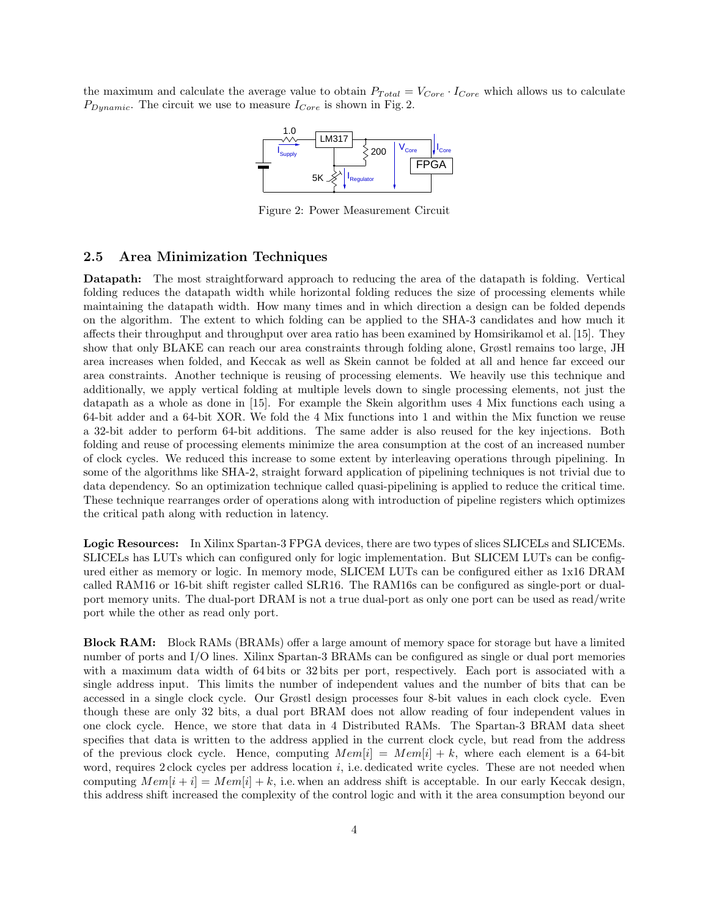the maximum and calculate the average value to obtain  $P_{Total} = V_{Core} \cdot I_{Core}$  which allows us to calculate  $P_{Dynamic}$ . The circuit we use to measure  $I_{Core}$  is shown in Fig. 2.



Figure 2: Power Measurement Circuit

#### **2.5 Area Minimization Techniques**

**Datapath:** The most straightforward approach to reducing the area of the datapath is folding. Vertical folding reduces the datapath width while horizontal folding reduces the size of processing elements while maintaining the datapath width. How many times and in which direction a design can be folded depends on the algorithm. The extent to which folding can be applied to the SHA-3 candidates and how much it affects their throughput and throughput over area ratio has been examined by Homsirikamol et al. [15]. They show that only BLAKE can reach our area constraints through folding alone, Grøstl remains too large, JH area increases when folded, and Keccak as well as Skein cannot be folded at all and hence far exceed our area constraints. Another technique is reusing of processing elements. We heavily use this technique and additionally, we apply vertical folding at multiple levels down to single processing elements, not just the datapath as a whole as done in [15]. For example the Skein algorithm uses 4 Mix functions each using a 64-bit adder and a 64-bit XOR. We fold the 4 Mix functions into 1 and within the Mix function we reuse a 32-bit adder to perform 64-bit additions. The same adder is also reused for the key injections. Both folding and reuse of processing elements minimize the area consumption at the cost of an increased number of clock cycles. We reduced this increase to some extent by interleaving operations through pipelining. In some of the algorithms like SHA-2, straight forward application of pipelining techniques is not trivial due to data dependency. So an optimization technique called quasi-pipelining is applied to reduce the critical time. These technique rearranges order of operations along with introduction of pipeline registers which optimizes the critical path along with reduction in latency.

**Logic Resources:** In Xilinx Spartan-3 FPGA devices, there are two types of slices SLICELs and SLICEMs. SLICELs has LUTs which can configured only for logic implementation. But SLICEM LUTs can be configured either as memory or logic. In memory mode, SLICEM LUTs can be configured either as 1x16 DRAM called RAM16 or 16-bit shift register called SLR16. The RAM16s can be configured as single-port or dualport memory units. The dual-port DRAM is not a true dual-port as only one port can be used as read/write port while the other as read only port.

**Block RAM:** Block RAMs (BRAMs) offer a large amount of memory space for storage but have a limited number of ports and I/O lines. Xilinx Spartan-3 BRAMs can be configured as single or dual port memories with a maximum data width of 64 bits or 32 bits per port, respectively. Each port is associated with a single address input. This limits the number of independent values and the number of bits that can be accessed in a single clock cycle. Our Grøstl design processes four 8-bit values in each clock cycle. Even though these are only 32 bits, a dual port BRAM does not allow reading of four independent values in one clock cycle. Hence, we store that data in 4 Distributed RAMs. The Spartan-3 BRAM data sheet specifies that data is written to the address applied in the current clock cycle, but read from the address of the previous clock cycle. Hence, computing  $Mem[i] = Mem[i] + k$ , where each element is a 64-bit word, requires 2 clock cycles per address location *i*, i.e. dedicated write cycles. These are not needed when computing  $Mem[i + i] = Mem[i] + k$ , i.e. when an address shift is acceptable. In our early Keccak design, this address shift increased the complexity of the control logic and with it the area consumption beyond our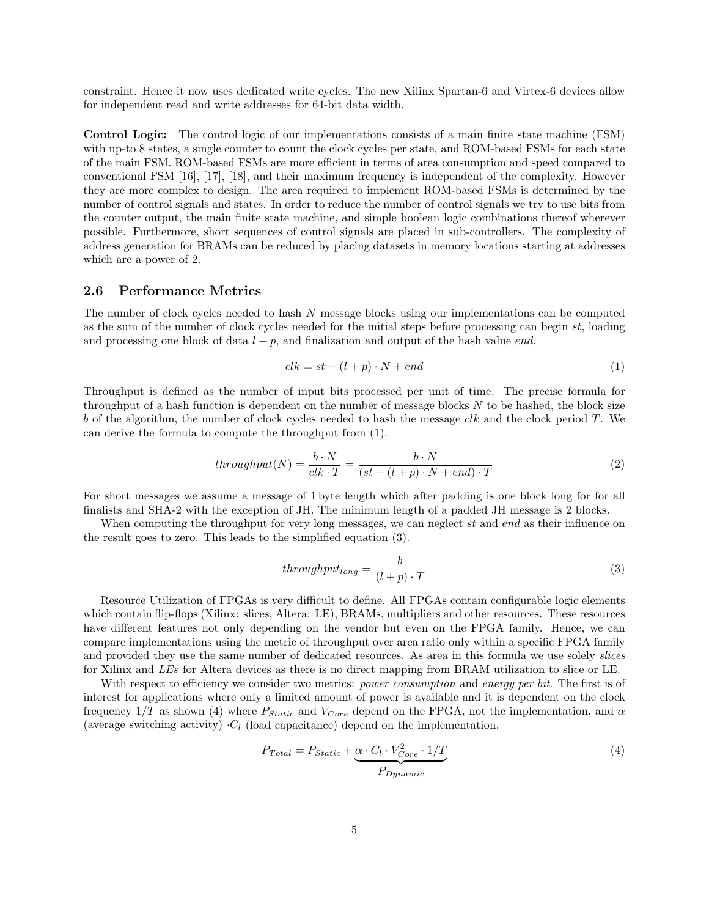constraint. Hence it now uses dedicated write cycles. The new Xilinx Spartan-6 and Virtex-6 devices allow for independent read and write addresses for 64-bit data width.

**Control Logic:** The control logic of our implementations consists of a main finite state machine (FSM) with up-to 8 states, a single counter to count the clock cycles per state, and ROM-based FSMs for each state of the main FSM. ROM-based FSMs are more efficient in terms of area consumption and speed compared to conventional FSM [16], [17], [18], and their maximum frequency is independent of the complexity. However they are more complex to design. The area required to implement ROM-based FSMs is determined by the number of control signals and states. In order to reduce the number of control signals we try to use bits from the counter output, the main finite state machine, and simple boolean logic combinations thereof wherever possible. Furthermore, short sequences of control signals are placed in sub-controllers. The complexity of address generation for BRAMs can be reduced by placing datasets in memory locations starting at addresses which are a power of 2.

#### **2.6 Performance Metrics**

The number of clock cycles needed to hash *N* message blocks using our implementations can be computed as the sum of the number of clock cycles needed for the initial steps before processing can begin *st*, loading and processing one block of data  $l + p$ , and finalization and output of the hash value *end*.

$$
clk = st + (l + p) \cdot N + end \tag{1}
$$

Throughput is defined as the number of input bits processed per unit of time. The precise formula for throughput of a hash function is dependent on the number of message blocks *N* to be hashed, the block size *b* of the algorithm, the number of clock cycles needed to hash the message *clk* and the clock period *T*. We can derive the formula to compute the throughput from (1).

$$
throughput(N) = \frac{b \cdot N}{clk \cdot T} = \frac{b \cdot N}{(st + (l + p) \cdot N + end) \cdot T}
$$
\n(2)

For short messages we assume a message of 1 byte length which after padding is one block long for for all finalists and SHA-2 with the exception of JH. The minimum length of a padded JH message is 2 blocks.

When computing the throughput for very long messages, we can neglect *st* and *end* as their influence on the result goes to zero. This leads to the simplified equation (3).

$$
throughput_{long} = \frac{b}{(l+p) \cdot T}
$$
\n(3)

Resource Utilization of FPGAs is very difficult to define. All FPGAs contain configurable logic elements which contain flip-flops (Xilinx: slices, Altera: LE), BRAMs, multipliers and other resources. These resources have different features not only depending on the vendor but even on the FPGA family. Hence, we can compare implementations using the metric of throughput over area ratio only within a specific FPGA family and provided they use the same number of dedicated resources. As area in this formula we use solely *slices* for Xilinx and *LEs* for Altera devices as there is no direct mapping from BRAM utilization to slice or LE.

With respect to efficiency we consider two metrics: *power consumption* and *energy per bit*. The first is of interest for applications where only a limited amount of power is available and it is dependent on the clock frequency  $1/T$  as shown (4) where  $P_{Static}$  and  $V_{Core}$  depend on the FPGA, not the implementation, and  $\alpha$ (average switching activity)  $\cdot$ *C*<sub>*l*</sub> (load capacitance) depend on the implementation.

$$
P_{Total} = P_{Static} + \underbrace{\alpha \cdot C_l \cdot V_{Core}^2 \cdot 1/T}_{P_{Dynamic}} \tag{4}
$$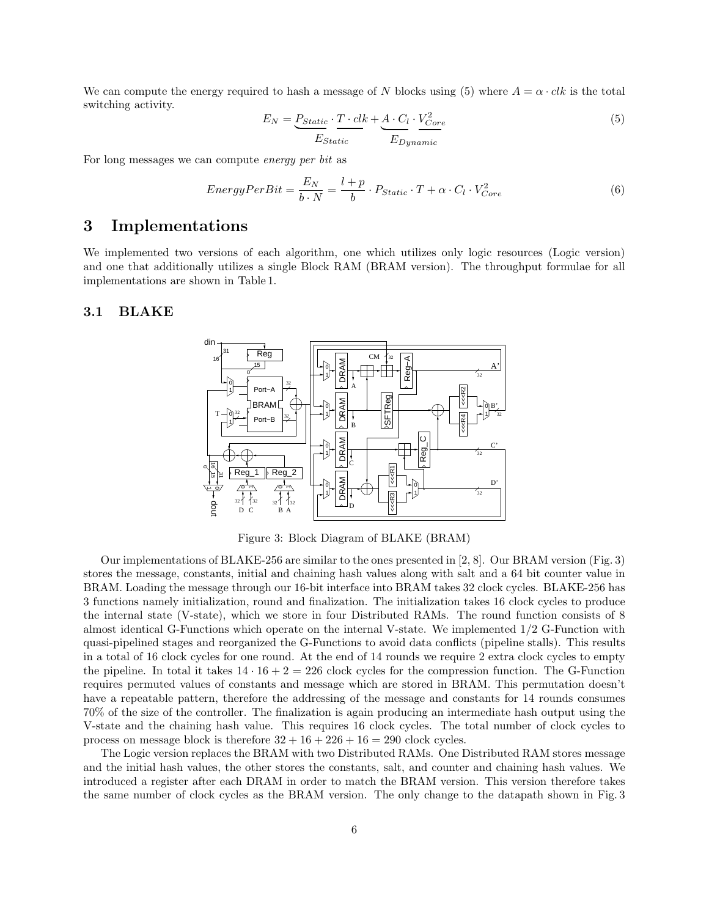We can compute the energy required to hash a message of *N* blocks using (5) where  $A = \alpha \cdot ck$  is the total switching activity.

$$
E_N = \underbrace{P_{Static}}_{Estatic} \cdot \underbrace{T \cdot clk}_{E_{Dynamic}} + \underbrace{A \cdot C_l}_{E_{Dynamic}} \cdot \underbrace{V_{Core}^2}_{E_{Dynamic}}
$$
\n
$$
\tag{5}
$$

For long messages we can compute *energy per bit* as

$$
EnergyPerBit = \frac{E_N}{b \cdot N} = \frac{l+p}{b} \cdot P_{Static} \cdot T + \alpha \cdot C_l \cdot V_{Core}^2 \tag{6}
$$

### **3 Implementations**

We implemented two versions of each algorithm, one which utilizes only logic resources (Logic version) and one that additionally utilizes a single Block RAM (BRAM version). The throughput formulae for all implementations are shown in Table 1.

#### **3.1 BLAKE**



Figure 3: Block Diagram of BLAKE (BRAM)

Our implementations of BLAKE-256 are similar to the ones presented in [2, 8]. Our BRAM version (Fig. 3) stores the message, constants, initial and chaining hash values along with salt and a 64 bit counter value in BRAM. Loading the message through our 16-bit interface into BRAM takes 32 clock cycles. BLAKE-256 has 3 functions namely initialization, round and finalization. The initialization takes 16 clock cycles to produce the internal state (V-state), which we store in four Distributed RAMs. The round function consists of 8 almost identical G-Functions which operate on the internal V-state. We implemented 1/2 G-Function with quasi-pipelined stages and reorganized the G-Functions to avoid data conflicts (pipeline stalls). This results in a total of 16 clock cycles for one round. At the end of 14 rounds we require 2 extra clock cycles to empty the pipeline. In total it takes  $14 \cdot 16 + 2 = 226$  clock cycles for the compression function. The G-Function requires permuted values of constants and message which are stored in BRAM. This permutation doesn't have a repeatable pattern, therefore the addressing of the message and constants for 14 rounds consumes 70% of the size of the controller. The finalization is again producing an intermediate hash output using the V-state and the chaining hash value. This requires 16 clock cycles. The total number of clock cycles to process on message block is therefore  $32 + 16 + 226 + 16 = 290$  clock cycles.

The Logic version replaces the BRAM with two Distributed RAMs. One Distributed RAM stores message and the initial hash values, the other stores the constants, salt, and counter and chaining hash values. We introduced a register after each DRAM in order to match the BRAM version. This version therefore takes the same number of clock cycles as the BRAM version. The only change to the datapath shown in Fig. 3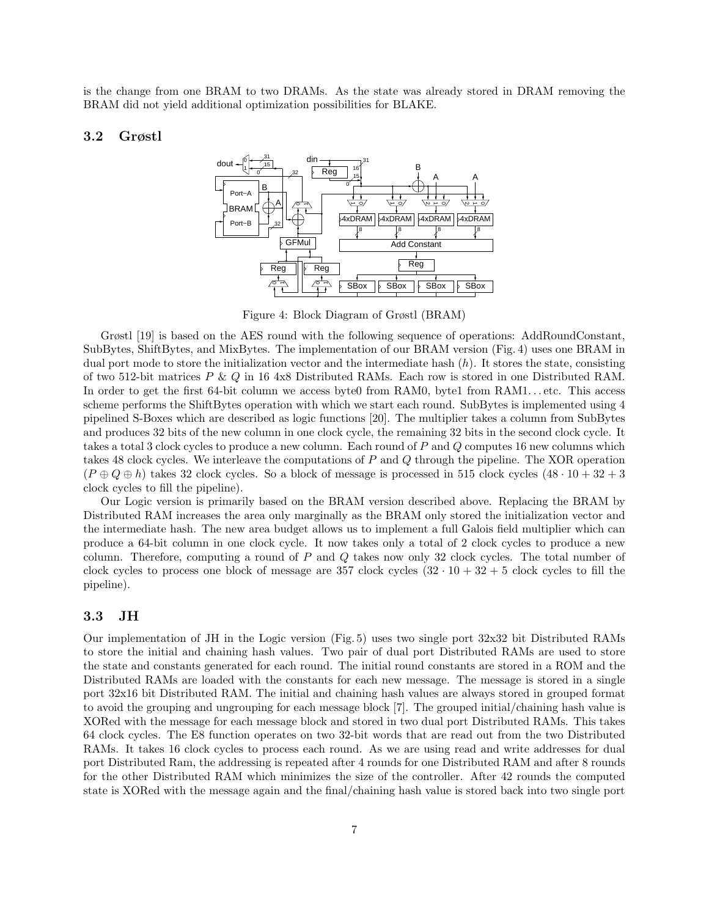is the change from one BRAM to two DRAMs. As the state was already stored in DRAM removing the BRAM did not yield additional optimization possibilities for BLAKE.

#### **3.2 Grøstl**



Figure 4: Block Diagram of Grøstl (BRAM)

Grøstl [19] is based on the AES round with the following sequence of operations: AddRoundConstant, SubBytes, ShiftBytes, and MixBytes. The implementation of our BRAM version (Fig. 4) uses one BRAM in dual port mode to store the initialization vector and the intermediate hash (*h*). It stores the state, consisting of two 512-bit matrices *P* & *Q* in 16 4x8 Distributed RAMs. Each row is stored in one Distributed RAM. In order to get the first 64-bit column we access byte0 from RAM0, byte1 from RAM1...etc. This access scheme performs the ShiftBytes operation with which we start each round. SubBytes is implemented using 4 pipelined S-Boxes which are described as logic functions [20]. The multiplier takes a column from SubBytes and produces 32 bits of the new column in one clock cycle, the remaining 32 bits in the second clock cycle. It takes a total 3 clock cycles to produce a new column. Each round of *P* and *Q* computes 16 new columns which takes 48 clock cycles. We interleave the computations of *P* and *Q* through the pipeline. The XOR operation  $(P \oplus Q \oplus h)$  takes 32 clock cycles. So a block of message is processed in 515 clock cycles  $(48 \cdot 10 + 32 + 3)$ clock cycles to fill the pipeline).

Our Logic version is primarily based on the BRAM version described above. Replacing the BRAM by Distributed RAM increases the area only marginally as the BRAM only stored the initialization vector and the intermediate hash. The new area budget allows us to implement a full Galois field multiplier which can produce a 64-bit column in one clock cycle. It now takes only a total of 2 clock cycles to produce a new column. Therefore, computing a round of *P* and *Q* takes now only 32 clock cycles. The total number of clock cycles to process one block of message are  $357$  clock cycles  $(32 \cdot 10 + 32 + 5$  clock cycles to fill the pipeline).

#### **3.3 JH**

Our implementation of JH in the Logic version (Fig. 5) uses two single port 32x32 bit Distributed RAMs to store the initial and chaining hash values. Two pair of dual port Distributed RAMs are used to store the state and constants generated for each round. The initial round constants are stored in a ROM and the Distributed RAMs are loaded with the constants for each new message. The message is stored in a single port 32x16 bit Distributed RAM. The initial and chaining hash values are always stored in grouped format to avoid the grouping and ungrouping for each message block [7]. The grouped initial/chaining hash value is XORed with the message for each message block and stored in two dual port Distributed RAMs. This takes 64 clock cycles. The E8 function operates on two 32-bit words that are read out from the two Distributed RAMs. It takes 16 clock cycles to process each round. As we are using read and write addresses for dual port Distributed Ram, the addressing is repeated after 4 rounds for one Distributed RAM and after 8 rounds for the other Distributed RAM which minimizes the size of the controller. After 42 rounds the computed state is XORed with the message again and the final/chaining hash value is stored back into two single port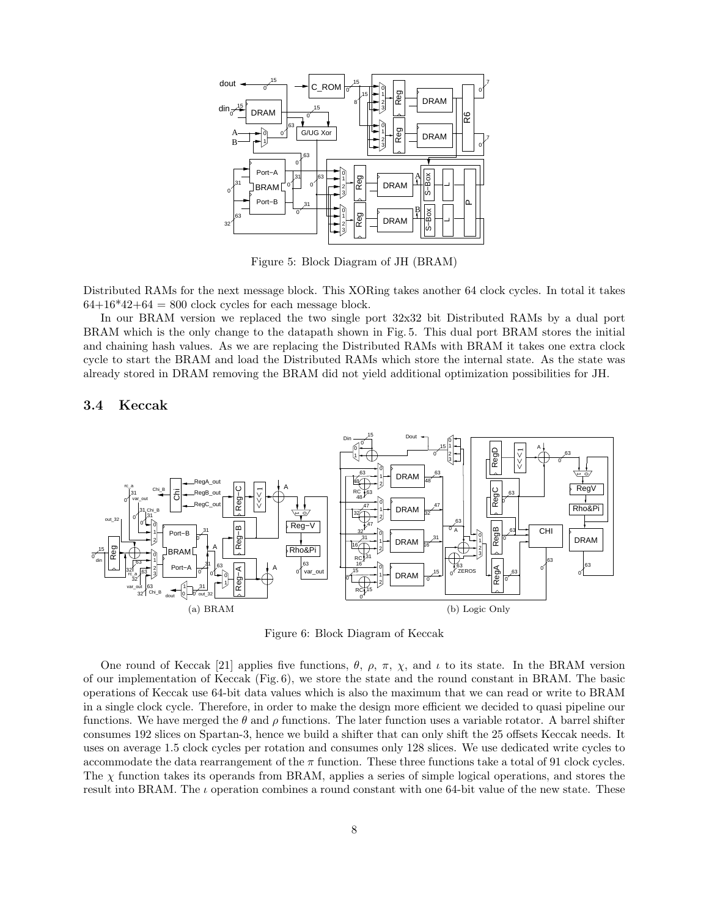

Figure 5: Block Diagram of JH (BRAM)

Distributed RAMs for the next message block. This XORing takes another 64 clock cycles. In total it takes  $64+16*42+64 = 800$  clock cycles for each message block.

In our BRAM version we replaced the two single port 32x32 bit Distributed RAMs by a dual port BRAM which is the only change to the datapath shown in Fig. 5. This dual port BRAM stores the initial and chaining hash values. As we are replacing the Distributed RAMs with BRAM it takes one extra clock cycle to start the BRAM and load the Distributed RAMs which store the internal state. As the state was already stored in DRAM removing the BRAM did not yield additional optimization possibilities for JH.

#### **3.4 Keccak**



Figure 6: Block Diagram of Keccak

One round of Keccak [21] applies five functions,  $\theta$ ,  $\rho$ ,  $\pi$ ,  $\chi$ , and  $\iota$  to its state. In the BRAM version of our implementation of Keccak (Fig. 6), we store the state and the round constant in BRAM. The basic operations of Keccak use 64-bit data values which is also the maximum that we can read or write to BRAM in a single clock cycle. Therefore, in order to make the design more efficient we decided to quasi pipeline our functions. We have merged the  $\theta$  and  $\rho$  functions. The later function uses a variable rotator. A barrel shifter consumes 192 slices on Spartan-3, hence we build a shifter that can only shift the 25 offsets Keccak needs. It uses on average 1.5 clock cycles per rotation and consumes only 128 slices. We use dedicated write cycles to accommodate the data rearrangement of the *α* function. These three functions take a total of 91 clock cycles. The  $\chi$  function takes its operands from BRAM, applies a series of simple logical operations, and stores the result into BRAM. The  $\iota$  operation combines a round constant with one 64-bit value of the new state. These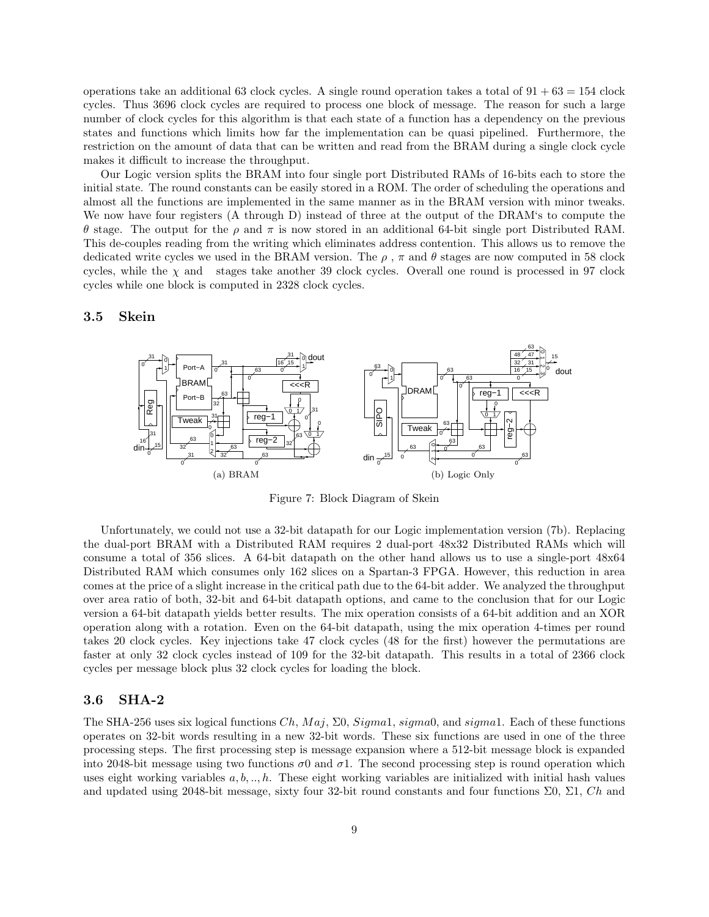operations take an additional 63 clock cycles. A single round operation takes a total of  $91 + 63 = 154$  clock cycles. Thus 3696 clock cycles are required to process one block of message. The reason for such a large number of clock cycles for this algorithm is that each state of a function has a dependency on the previous states and functions which limits how far the implementation can be quasi pipelined. Furthermore, the restriction on the amount of data that can be written and read from the BRAM during a single clock cycle makes it difficult to increase the throughput.

Our Logic version splits the BRAM into four single port Distributed RAMs of 16-bits each to store the initial state. The round constants can be easily stored in a ROM. The order of scheduling the operations and almost all the functions are implemented in the same manner as in the BRAM version with minor tweaks. We now have four registers (A through D) instead of three at the output of the DRAM's to compute the θ stage. The output for the *ρ* and  $\pi$  is now stored in an additional 64-bit single port Distributed RAM. This de-couples reading from the writing which eliminates address contention. This allows us to remove the dedicated write cycles we used in the BRAM version. The  $\rho$ ,  $\pi$  and  $\theta$  stages are now computed in 58 clock cycles, while the  $\chi$  and stages take another 39 clock cycles. Overall one round is processed in 97 clock cycles while one block is computed in 2328 clock cycles.

#### **Skein 3.5**



Figure 7: Block Diagram of Skein

Unfortunately, we could not use a 32-bit datapath for our Logic implementation version (7b). Replacing the dual-port BRAM with a Distributed RAM requires 2 dual-port 48x32 Distributed RAMs which will consume a total of 356 slices. A 64-bit datapath on the other hand allows us to use a single-port 48x64 Distributed RAM which consumes only 162 slices on a Spartan-3 FPGA. However, this reduction in area comes at the price of a slight increase in the critical path due to the 64-bit adder. We analyzed the throughput over area ratio of both, 32-bit and 64-bit datapath options, and came to the conclusion that for our Logic version a 64-bit datapath yields better results. The mix operation consists of a 64-bit addition and an XOR operation along with a rotation. Even on the 64-bit datapath, using the mix operation 4-times per round takes 20 clock cycles. Key injections take 47 clock cycles (48 for the first) however the permutations are faster at only 32 clock cycles instead of 109 for the 32-bit datapath. This results in a total of 2366 clock cycles per message block plus 32 clock cycles for loading the block.

#### **3.6 SHA-2**

The SHA-256 uses six logical functions  $Ch, Maj, \Sigma 0, Signal, sigma0,$  and  $sigma1$ . Each of these functions operates on 32-bit words resulting in a new 32-bit words. These six functions are used in one of the three processing steps. The first processing step is message expansion where a 512-bit message block is expanded into 2048-bit message using two functions  $\sigma$ 0 and  $\sigma$ 1. The second processing step is round operation which uses eight working variables *a, b, .., h*. These eight working variables are initialized with initial hash values and updated using 2048-bit message, sixty four 32-bit round constants and four functions  $\Sigma$ 0,  $\Sigma$ 1, *Ch* and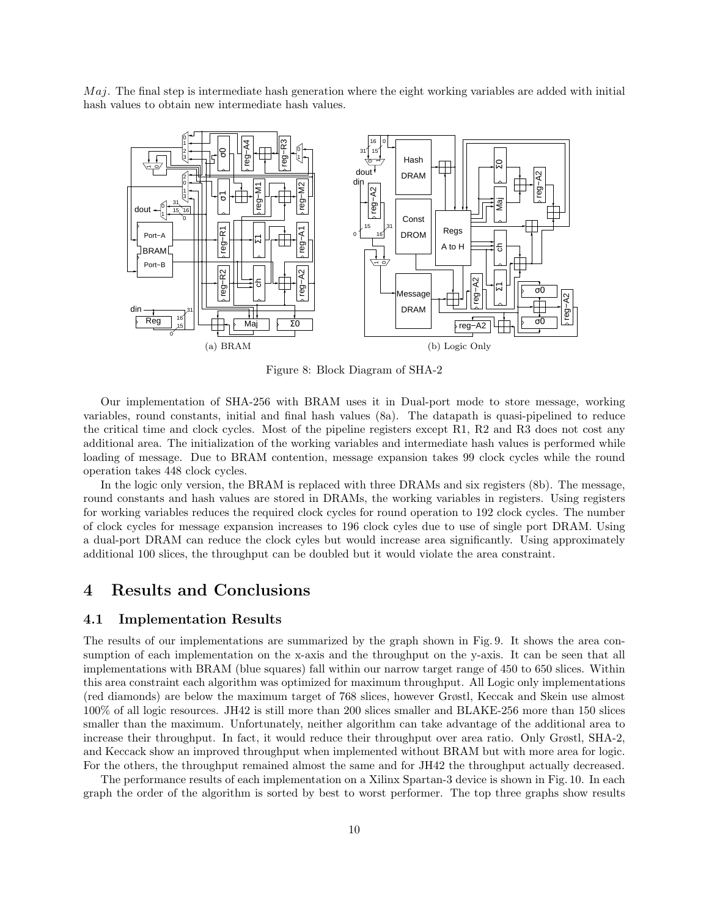The final step is intermediate hash generation where the eight working variables are added with initial *M aj*. hash values to obtain new intermediate hash values.



Figure 8: Block Diagram of SHA-2

Our implementation of SHA-256 with BRAM uses it in Dual-port mode to store message, working variables, round constants, initial and final hash values (8a). The datapath is quasi-pipelined to reduce the critical time and clock cycles. Most of the pipeline registers except R1, R2 and R3 does not cost any additional area. The initialization of the working variables and intermediate hash values is performed while loading of message. Due to BRAM contention, message expansion takes 99 clock cycles while the round operation takes 448 clock cycles.

In the logic only version, the BRAM is replaced with three DRAMs and six registers (8b). The message, round constants and hash values are stored in DRAMs, the working variables in registers. Using registers for working variables reduces the required clock cycles for round operation to 192 clock cycles. The number of clock cycles for message expansion increases to 196 clock cyles due to use of single port DRAM. Using a dual-port DRAM can reduce the clock cyles but would increase area significantly. Using approximately additional 100 slices, the throughput can be doubled but it would violate the area constraint.

## **4 Results and Conclusions**

#### **4.1 Implementation Results**

The results of our implementations are summarized by the graph shown in Fig. 9. It shows the area consumption of each implementation on the x-axis and the throughput on the y-axis. It can be seen that all implementations with BRAM (blue squares) fall within our narrow target range of 450 to 650 slices. Within this area constraint each algorithm was optimized for maximum throughput. All Logic only implementations (red diamonds) are below the maximum target of 768 slices, however Grøstl, Keccak and Skein use almost 100% of all logic resources. JH42 is still more than 200 slices smaller and BLAKE-256 more than 150 slices smaller than the maximum. Unfortunately, neither algorithm can take advantage of the additional area to increase their throughput. In fact, it would reduce their throughput over area ratio. Only Grøstl, SHA-2, and Keccack show an improved throughput when implemented without BRAM but with more area for logic. For the others, the throughput remained almost the same and for JH42 the throughput actually decreased.

The performance results of each implementation on a Xilinx Spartan-3 device is shown in Fig. 10. In each graph the order of the algorithm is sorted by best to worst performer. The top three graphs show results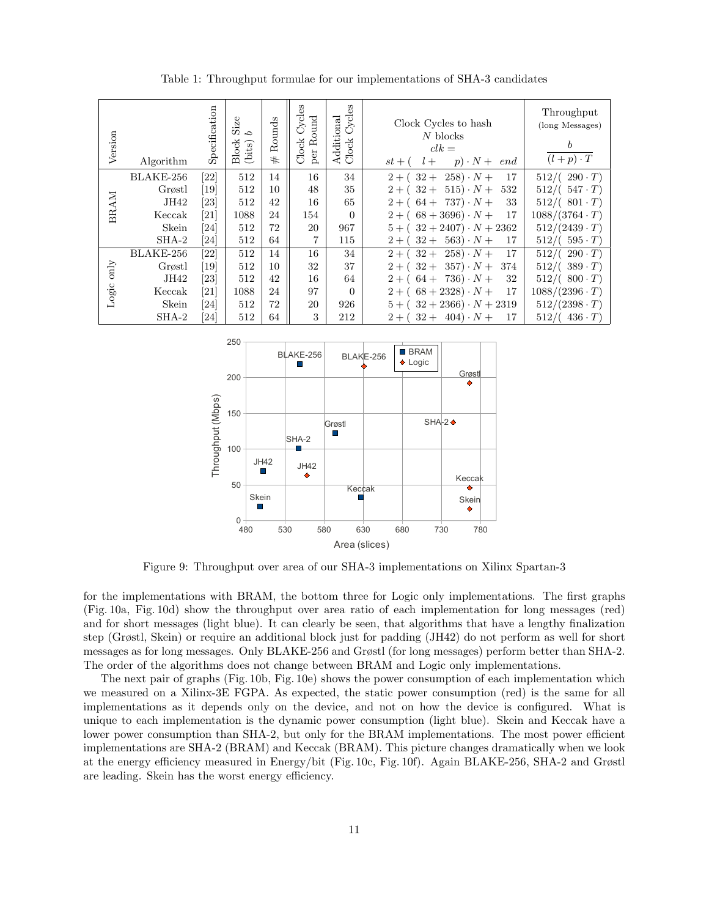| Version       | Algorithm | Specification                | Size<br>C,<br><b>Block</b><br>(bits) | Rounds<br>$^{\rm \#}$ | Cycles<br>Round<br>Clock<br>per | Cycles<br>Additional<br>Clock | Clock Cycles to hash<br>$N$ blocks<br>$clk =$<br>$p) \cdot N +$<br>$st + ($<br>$l +$<br>end | Throughput<br>(long Messages)<br>b<br>$(l+p)\cdot T$ |
|---------------|-----------|------------------------------|--------------------------------------|-----------------------|---------------------------------|-------------------------------|---------------------------------------------------------------------------------------------|------------------------------------------------------|
|               | BLAKE-256 | [22]                         | 512                                  | 14                    | 16                              | 34                            | $258) \cdot N +$<br>17<br>$32+$<br>$2 + ($                                                  | $512/((290 \cdot T))$                                |
|               | Grøstl    | [19]                         | 512                                  | 10                    | 48                              | 35                            | $2 + (32 + 515) \cdot N +$<br>532                                                           | $512/(.547 \cdot T)$                                 |
| BRAM          | JH42      | $\left[ 23\right]$           | 512                                  | 42                    | 16                              | 65                            | $2 + (64 + 737) \cdot N +$<br>33                                                            | $512/(.801 \cdot T)$                                 |
|               | Keccak    | $\left[ 21\right]$           | 1088                                 | 24                    | 154                             | $\Omega$                      | $2 + (68 + 3696) \cdot N +$<br>17                                                           | $1088/(3764 \cdot T)$                                |
|               | Skein     | $\left[ 24\right]$           | 512                                  | 72                    | 20                              | 967                           | $5 + (32 + 2407) \cdot N + 2362$                                                            | $512/(2439 \cdot T)$                                 |
|               | $SHA-2$   | $\left[ 24\right]$           | 512                                  | 64                    | 7                               | 115                           | $32 + 563) \cdot N +$<br>$2 + ($<br>17                                                      | $512/(.595 \cdot T)$                                 |
|               | BLAKE-256 | $\left[ 22\right]$           | 512                                  | 14                    | 16                              | 34                            | $2 + (32 + 258) \cdot N +$<br>17                                                            | $512/((290 \cdot T))$                                |
| $_{\rm only}$ | Grøstl    | $\left\lceil 19\right\rceil$ | 512                                  | 10                    | 32                              | 37                            | $2 + (32 + 357) \cdot N +$<br>374                                                           | $512/(\;389 \cdot T)$                                |
| Logic         | JH42      | $\left[ 23\right]$           | 512                                  | 42                    | 16                              | 64                            | $2 + (64 + 736) \cdot N +$<br>32                                                            | $512/((800 \cdot T))$                                |
|               | Keccak    | $\left[ 21\right]$           | 1088                                 | 24                    | 97                              | $\Omega$                      | $2 + (68 + 2328) \cdot N +$<br>17                                                           | $1088/(2396 \cdot T)$                                |
|               | Skein     | [24]                         | 512                                  | 72                    | 20                              | 926                           | $5 + (32 + 2366) \cdot N + 2319$                                                            | $512/(2398 \cdot T)$                                 |
|               | $SHA-2$   | $\left[ 24\right]$           | 512                                  | 64                    | 3                               | 212                           | $32 + 404) \cdot N +$<br>$2 + ($<br>17                                                      | $436 \cdot T$<br>512/                                |

Table 1: Throughput formulae for our implementations of SHA-3 candidates



Figure 9: Throughput over area of our SHA-3 implementations on Xilinx Spartan-3

for the implementations with BRAM, the bottom three for Logic only implementations. The first graphs (Fig. 10a, Fig. 10d) show the throughput over area ratio of each implementation for long messages (red) and for short messages (light blue). It can clearly be seen, that algorithms that have a lengthy finalization step (Grøstl, Skein) or require an additional block just for padding (JH42) do not perform as well for short messages as for long messages. Only BLAKE-256 and Grøstl (for long messages) perform better than SHA-2. The order of the algorithms does not change between BRAM and Logic only implementations.

The next pair of graphs (Fig. 10b, Fig. 10e) shows the power consumption of each implementation which we measured on a Xilinx-3E FGPA. As expected, the static power consumption (red) is the same for all implementations as it depends only on the device, and not on how the device is configured. What is unique to each implementation is the dynamic power consumption (light blue). Skein and Keccak have a lower power consumption than SHA-2, but only for the BRAM implementations. The most power efficient implementations are SHA-2 (BRAM) and Keccak (BRAM). This picture changes dramatically when we look at the energy efficiency measured in Energy/bit (Fig. 10c, Fig. 10f). Again BLAKE-256, SHA-2 and Grøstl are leading. Skein has the worst energy efficiency.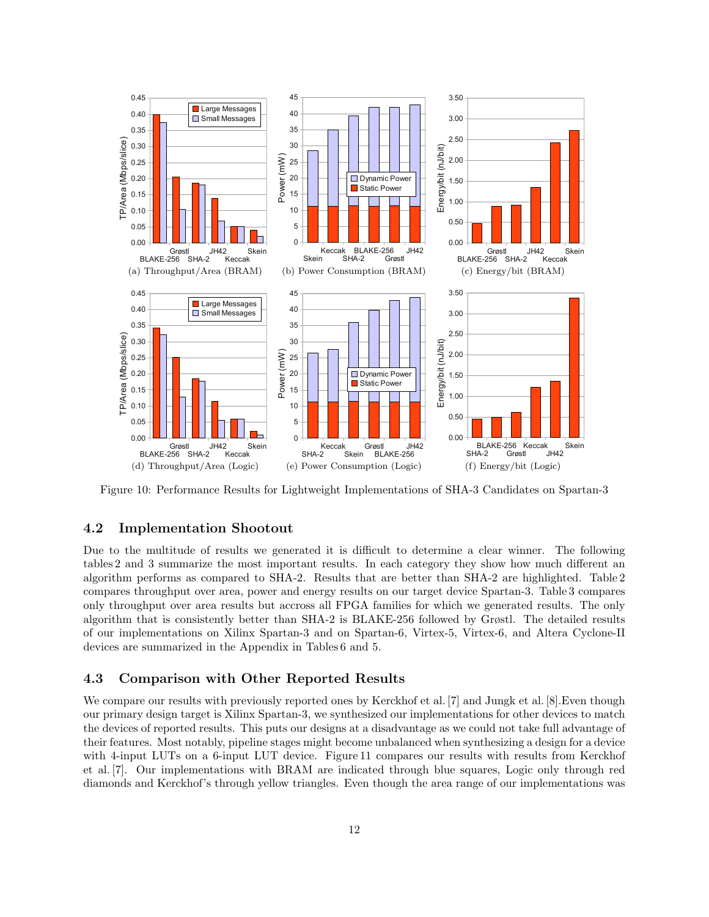

Figure 10: Performance Results for Lightweight Implementations of SHA-3 Candidates on Spartan-3

### **4.2 Implementation Shootout**

Due to the multitude of results we generated it is difficult to determine a clear winner. The following tables 2 and 3 summarize the most important results. In each category they show how much different an algorithm performs as compared to SHA-2. Results that are better than SHA-2 are highlighted. Table 2 compares throughput over area, power and energy results on our target device Spartan-3. Table 3 compares only throughput over area results but accross all FPGA families for which we generated results. The only algorithm that is consistently better than SHA-2 is BLAKE-256 followed by Grøstl. The detailed results of our implementations on Xilinx Spartan-3 and on Spartan-6, Virtex-5, Virtex-6, and Altera Cyclone-II devices are summarized in the Appendix in Tables 6 and 5.

#### **4.3 Comparison with Other Reported Results**

We compare our results with previously reported ones by Kerckhof et al. [7] and Jungk et al. [8]. Even though our primary design target is Xilinx Spartan-3, we synthesized our implementations for other devices to match the devices of reported results. This puts our designs at a disadvantage as we could not take full advantage of their features. Most notably, pipeline stages might become unbalanced when synthesizing a design for a device with 4-input LUTs on a 6-input LUT device. Figure 11 compares our results with results from Kerckhof et al. [7]. Our implementations with BRAM are indicated through blue squares, Logic only through red diamonds and Kerckhof's through yellow triangles. Even though the area range of our implementations was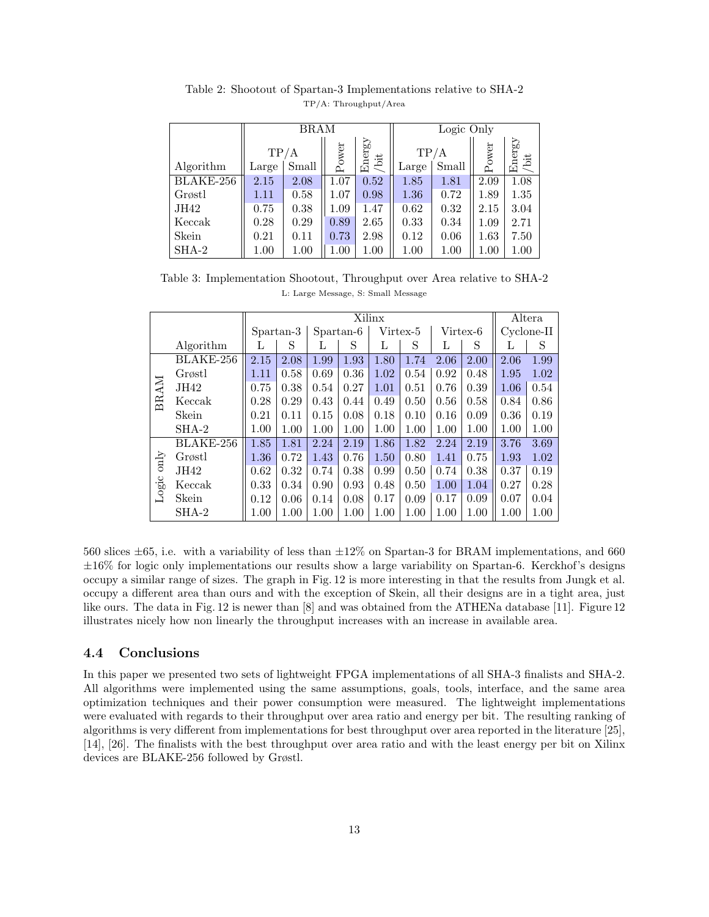|           |                | <b>BRAM</b> |       |                | Logic Only |       |          |                |  |
|-----------|----------------|-------------|-------|----------------|------------|-------|----------|----------------|--|
|           |                | TP/A        | Power | Energy<br>/bit | TP/A       |       | Power    | Energy<br>/bit |  |
| Algorithm | Small<br>Large |             |       |                | Large      | Small |          |                |  |
| BLAKE-256 | 2.15           | 2.08        | 1.07  | 0.52           | 1.85       | 1.81  | 2.09     | 1.08           |  |
| Grøstl    | 1.11           | 0.58        | 1.07  | 0.98           | 1.36       | 0.72  | 1.89     | 1.35           |  |
| JH42      | 0.75           | 0.38        | 1.09  | 1.47           | 0.62       | 0.32  | 2.15     | 3.04           |  |
| Keccak    | 0.28           | 0.29        | 0.89  | 2.65           | 0.33       | 0.34  | 1.09     | 2.71           |  |
| Skein     | 0.21           | 0.11        | 0.73  | 2.98           | 0.12       | 0.06  | 1.63     | 7.50           |  |
| $SHA-2$   | 1.00           | 1.00        | 1.00  | 1.00           | 1.00       | 1.00  | $1.00\,$ | $1.00\,$       |  |

Table 2: Shootout of Spartan-3 Implementations relative to SHA-2 TP/A: Throughput/Area

Table 3: Implementation Shootout, Throughput over Area relative to SHA-2 L: Large Message, S: Small Message

|               |           | Xilinx    |      |           |          |          |      |          |      | Altera     |      |
|---------------|-----------|-----------|------|-----------|----------|----------|------|----------|------|------------|------|
|               |           | Spartan-3 |      | Spartan-6 |          | Virtex-5 |      | Virtex-6 |      | Cyclone-II |      |
|               | Algorithm | L         | S    | L         | S        | L        | S    | L        | S    | L          | S    |
|               | BLAKE-256 | 2.15      | 2.08 | 1.99      | 1.93     | 1.80     | 1.74 | 2.06     | 2.00 | 2.06       | 1.99 |
|               | Grøstl    | 1.11      | 0.58 | 0.69      | 0.36     | 1.02     | 0.54 | 0.92     | 0.48 | 1.95       | 1.02 |
| <b>BRAM</b>   | JH42      | 0.75      | 0.38 | 0.54      | 0.27     | 1.01     | 0.51 | 0.76     | 0.39 | 1.06       | 0.54 |
|               | Keccak    | 0.28      | 0.29 | 0.43      | 0.44     | 0.49     | 0.50 | 0.56     | 0.58 | 0.84       | 0.86 |
|               | Skein     | 0.21      | 0.11 | 0.15      | 0.08     | 0.18     | 0.10 | 0.16     | 0.09 | 0.36       | 0.19 |
|               | $SHA-2$   | 1.00      | 1.00 | 1.00      | 1.00     | 1.00     | 1.00 | 1.00     | 1.00 | 1.00       | 1.00 |
|               | BLAKE-256 | 1.85      | 1.81 | 2.24      | 2.19     | 1.86     | 1.82 | 2.24     | 2.19 | 3.76       | 3.69 |
| $_{\rm only}$ | Grøstl    | $1.36\,$  | 0.72 | 1.43      | 0.76     | 1.50     | 0.80 | 1.41     | 0.75 | 1.93       | 1.02 |
|               | JH42      | 0.62      | 0.32 | 0.74      | 0.38     | 0.99     | 0.50 | 0.74     | 0.38 | 0.37       | 0.19 |
| Logic         | Keccak    | 0.33      | 0.34 | 0.90      | 0.93     | 0.48     | 0.50 | 1.00     | 1.04 | 0.27       | 0.28 |
|               | Skein     | 0.12      | 0.06 | 0.14      | 0.08     | 0.17     | 0.09 | 0.17     | 0.09 | 0.07       | 0.04 |
|               | $SHA-2$   | 1.00      | 1.00 | 1.00      | $1.00\,$ | 1.00     | 1.00 | 1.00     | 1.00 | 1.00       | 1.00 |

560 slices *±*65, i.e. with a variability of less than *±*12% on Spartan-3 for BRAM implementations, and 660 *±*16% for logic only implementations our results show a large variability on Spartan-6. Kerckhof's designs occupy a similar range of sizes. The graph in Fig. 12 is more interesting in that the results from Jungk et al. occupy a different area than ours and with the exception of Skein, all their designs are in a tight area, just like ours. The data in Fig. 12 is newer than [8] and was obtained from the ATHENa database [11]. Figure 12 illustrates nicely how non linearly the throughput increases with an increase in available area.

#### **4.4 Conclusions**

In this paper we presented two sets of lightweight FPGA implementations of all SHA-3 finalists and SHA-2. All algorithms were implemented using the same assumptions, goals, tools, interface, and the same area optimization techniques and their power consumption were measured. The lightweight implementations were evaluated with regards to their throughput over area ratio and energy per bit. The resulting ranking of algorithms is very different from implementations for best throughput over area reported in the literature [25], [14], [26]. The finalists with the best throughput over area ratio and with the least energy per bit on Xilinx devices are BLAKE-256 followed by Grøstl.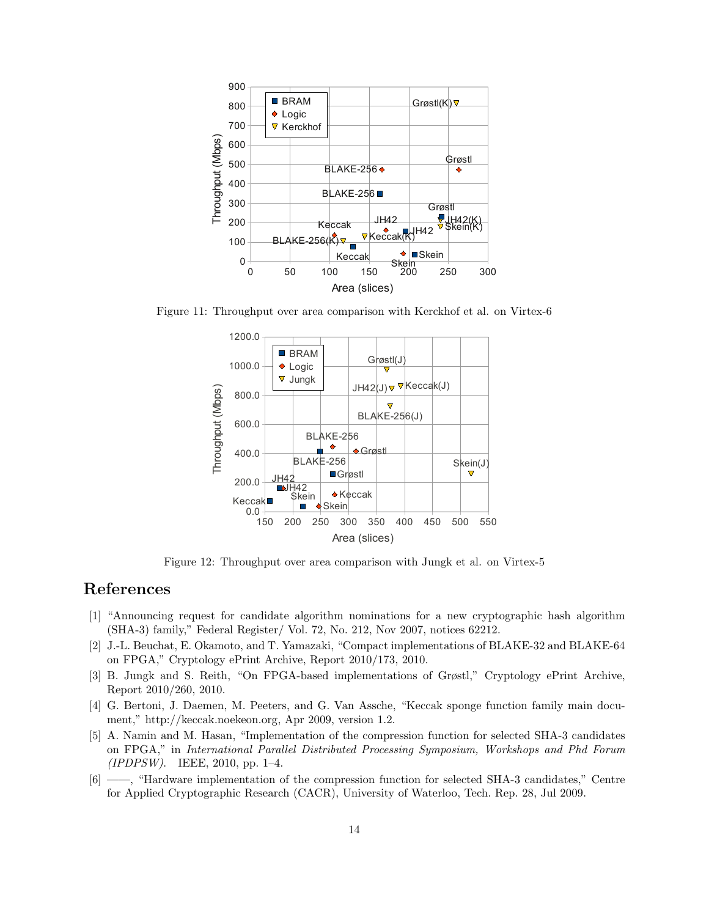

Figure 11: Throughput over area comparison with Kerckhof et al. on Virtex-6



Figure 12: Throughput over area comparison with Jungk et al. on Virtex-5

## **References**

- [1] "Announcing request for candidate algorithm nominations for a new cryptographic hash algorithm (SHA-3) family," Federal Register/ Vol. 72, No. 212, Nov 2007, notices 62212.
- [2] J.-L. Beuchat, E. Okamoto, and T. Yamazaki, "Compact implementations of BLAKE-32 and BLAKE-64 on FPGA," Cryptology ePrint Archive, Report 2010/173, 2010.
- [3] B. Jungk and S. Reith, "On FPGA-based implementations of Grøstl," Cryptology ePrint Archive, Report 2010/260, 2010.
- [4] G. Bertoni, J. Daemen, M. Peeters, and G. Van Assche, "Keccak sponge function family main document," http://keccak.noekeon.org, Apr 2009, version 1.2.
- [5] A. Namin and M. Hasan, "Implementation of the compression function for selected SHA-3 candidates on FPGA," in *International Parallel Distributed Processing Symposium, Workshops and Phd Forum (IPDPSW)*. IEEE, 2010, pp. 1–4.
- [6] ——, "Hardware implementation of the compression function for selected SHA-3 candidates," Centre for Applied Cryptographic Research (CACR), University of Waterloo, Tech. Rep. 28, Jul 2009.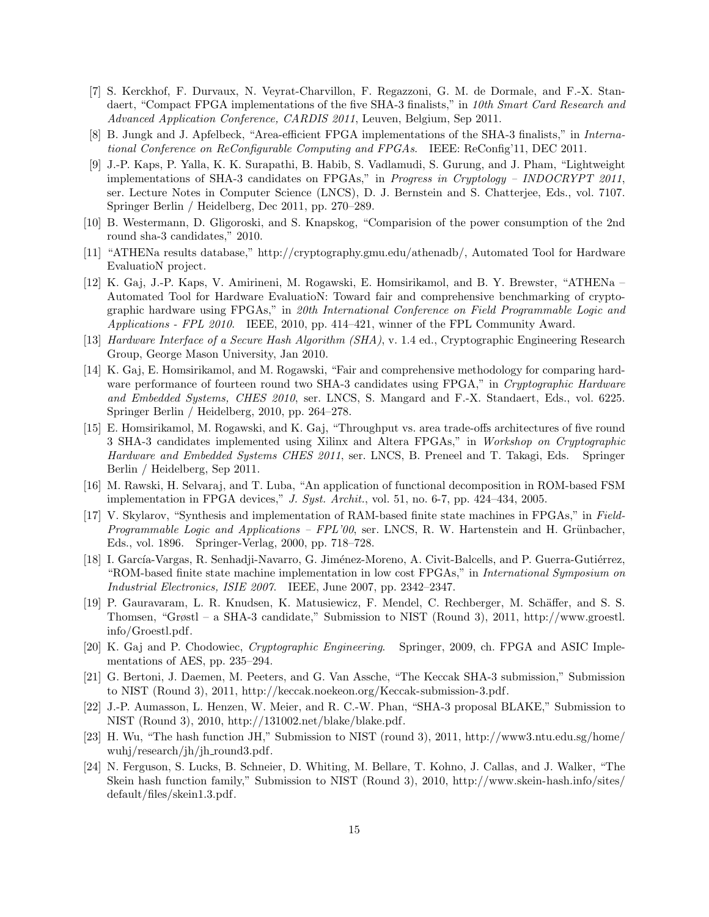- [7] S. Kerckhof, F. Durvaux, N. Veyrat-Charvillon, F. Regazzoni, G. M. de Dormale, and F.-X. Standaert, "Compact FPGA implementations of the five SHA-3 finalists," in *10th Smart Card Research and Advanced Application Conference, CARDIS 2011*, Leuven, Belgium, Sep 2011.
- [8] B. Jungk and J. Apfelbeck, "Area-efficient FPGA implementations of the SHA-3 finalists," in *International Conference on ReConfigurable Computing and FPGAs*. IEEE: ReConfig'11, DEC 2011.
- [9] J.-P. Kaps, P. Yalla, K. K. Surapathi, B. Habib, S. Vadlamudi, S. Gurung, and J. Pham, "Lightweight implementations of SHA-3 candidates on FPGAs," in *Progress in Cryptology – INDOCRYPT 2011*, ser. Lecture Notes in Computer Science (LNCS), D. J. Bernstein and S. Chatterjee, Eds., vol. 7107. Springer Berlin / Heidelberg, Dec 2011, pp. 270–289.
- [10] B. Westermann, D. Gligoroski, and S. Knapskog, "Comparision of the power consumption of the 2nd round sha-3 candidates," 2010.
- [11] "ATHENa results database," http://cryptography.gmu.edu/athenadb/, Automated Tool for Hardware EvaluatioN project.
- [12] K. Gaj, J.-P. Kaps, V. Amirineni, M. Rogawski, E. Homsirikamol, and B. Y. Brewster, "ATHENa Automated Tool for Hardware EvaluatioN: Toward fair and comprehensive benchmarking of cryptographic hardware using FPGAs," in *20th International Conference on Field Programmable Logic and Applications - FPL 2010*. IEEE, 2010, pp. 414–421, winner of the FPL Community Award.
- [13] *Hardware Interface of a Secure Hash Algorithm (SHA)*, v. 1.4 ed., Cryptographic Engineering Research Group, George Mason University, Jan 2010.
- [14] K. Gaj, E. Homsirikamol, and M. Rogawski, "Fair and comprehensive methodology for comparing hardware performance of fourteen round two SHA-3 candidates using FPGA," in *Cryptographic Hardware and Embedded Systems, CHES 2010*, ser. LNCS, S. Mangard and F.-X. Standaert, Eds., vol. 6225. Springer Berlin / Heidelberg, 2010, pp. 264–278.
- [15] E. Homsirikamol, M. Rogawski, and K. Gaj, "Throughput vs. area trade-offs architectures of five round 3 SHA-3 candidates implemented using Xilinx and Altera FPGAs," in *Workshop on Cryptographic Hardware and Embedded Systems CHES 2011*, ser. LNCS, B. Preneel and T. Takagi, Eds. Springer Berlin / Heidelberg, Sep 2011.
- [16] M. Rawski, H. Selvaraj, and T. Luba, "An application of functional decomposition in ROM-based FSM implementation in FPGA devices," *J. Syst. Archit.*, vol. 51, no. 6-7, pp. 424–434, 2005.
- [17] V. Skylarov, "Synthesis and implementation of RAM-based finite state machines in FPGAs," in *Field-Programmable Logic and Applications* – *FPL'00*, ser. LNCS, R. W. Hartenstein and H. Grünbacher, Eds., vol. 1896. Springer-Verlag, 2000, pp. 718–728.
- [18] I. García-Vargas, R. Senhadji-Navarro, G. Jiménez-Moreno, A. Civit-Balcells, and P. Guerra-Gutiérrez, "ROM-based finite state machine implementation in low cost FPGAs," in *International Symposium on Industrial Electronics, ISIE 2007*. IEEE, June 2007, pp. 2342–2347.
- [19] P. Gauravaram, L. R. Knudsen, K. Matusiewicz, F. Mendel, C. Rechberger, M. Sch¨affer, and S. S. Thomsen, "Grøstl – a SHA-3 candidate," Submission to NIST (Round 3), 2011, http://www.groestl. info/Groestl.pdf.
- [20] K. Gaj and P. Chodowiec, *Cryptographic Engineering*. Springer, 2009, ch. FPGA and ASIC Implementations of AES, pp. 235–294.
- [21] G. Bertoni, J. Daemen, M. Peeters, and G. Van Assche, "The Keccak SHA-3 submission," Submission to NIST (Round 3), 2011, http://keccak.noekeon.org/Keccak-submission-3.pdf.
- [22] J.-P. Aumasson, L. Henzen, W. Meier, and R. C.-W. Phan, "SHA-3 proposal BLAKE," Submission to NIST (Round 3), 2010, http://131002.net/blake/blake.pdf.
- [23] H. Wu, "The hash function JH," Submission to NIST (round 3), 2011, http://www3.ntu.edu.sg/home/ wuhj/research/jh/jh round3.pdf.
- [24] N. Ferguson, S. Lucks, B. Schneier, D. Whiting, M. Bellare, T. Kohno, J. Callas, and J. Walker, "The Skein hash function family," Submission to NIST (Round 3), 2010, http://www.skein-hash.info/sites/ default/files/skein1.3.pdf.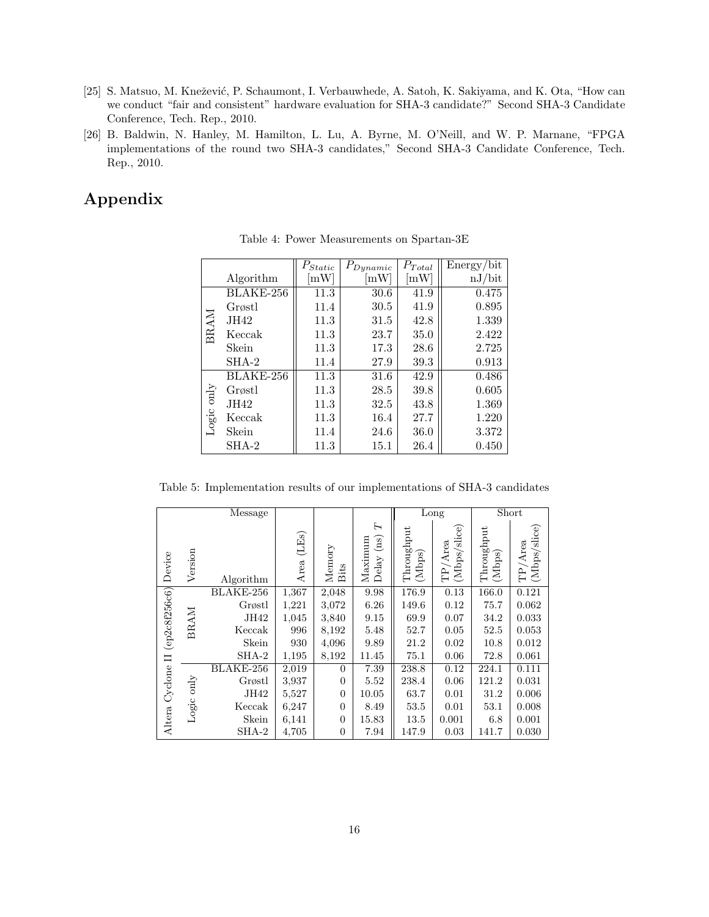- [25] S. Matsuo, M. Knežević, P. Schaumont, I. Verbauwhede, A. Satoh, K. Sakiyama, and K. Ota, "How can we conduct "fair and consistent" hardware evaluation for SHA-3 candidate?" Second SHA-3 Candidate Conference, Tech. Rep., 2010.
- [26] B. Baldwin, N. Hanley, M. Hamilton, L. Lu, A. Byrne, M. O'Neill, and W. P. Marnane, "FPGA implementations of the round two SHA-3 candidates," Second SHA-3 Candidate Conference, Tech. Rep., 2010.

# **Appendix**

|             |           | $P_{Static}$               | $P_{Dynamic}$ | $P_{Total}$                | Energy/bit |
|-------------|-----------|----------------------------|---------------|----------------------------|------------|
|             | Algorithm | $\mathop{\rm mW}\nolimits$ | mW            | $\left[\mathrm{mW}\right]$ | nJ/bit     |
|             | BLAKE-256 | 11.3                       | 30.6          | 41.9                       | 0.475      |
|             | Grøstl    | 11.4                       | 30.5          | 41.9                       | 0.895      |
|             | JH42      | 11.3                       | 31.5          | 42.8                       | 1.339      |
| <b>BRAM</b> | Keccak    | 11.3                       | 23.7          | 35.0                       | 2.422      |
|             | Skein     | 11.3                       | 17.3          | 28.6                       | 2.725      |
|             | $SHA-2$   | 11.4                       | 27.9          | 39.3                       | 0.913      |
|             | BLAKE-256 | 11.3                       | 31.6          | 42.9                       | 0.486      |
|             | Grøstl    | 11.3                       | 28.5          | 39.8                       | 0.605      |
| Logic only  | JH42      | 11.3                       | 32.5          | 43.8                       | 1.369      |
|             | Keccak    | 11.3                       | 16.4          | 27.7                       | 1.220      |
|             | Skein     | 11.4                       | 24.6          | 36.0                       | 3.372      |
|             | $SHA-2$   | 11.3                       | 15.1          | 26.4                       | 0.450      |

Table 4: Power Measurements on Spartan-3E

Table 5: Implementation results of our implementations of SHA-3 candidates

| Message       |             |           |               |                |                                                |                      | Long                    | Short                |                            |
|---------------|-------------|-----------|---------------|----------------|------------------------------------------------|----------------------|-------------------------|----------------------|----------------------------|
| Device        | Version     | Algorithm | (LEs)<br>Area | Memory<br>Bits | H<br>(ns)<br>Maximum<br>$\operatorname{Delay}$ | Throughput<br>(Mbps) | (Mbps/slice)<br>TP/Area | Throughput<br>(Mbps) | (Mbps/slice)<br>$TP/A$ rea |
|               | <b>BRAM</b> | BLAKE-256 | 1,367         | 2,048          | 9.98                                           | 176.9                | 0.13                    | 166.0                | 0.121                      |
|               |             | Grøstl    | 1,221         | 3,072          | 6.26                                           | 149.6                | 0.12                    | 75.7                 | 0.062                      |
|               |             | JH42      | 1,045         | 3,840          | 9.15                                           | 69.9                 | 0.07                    | 34.2                 | 0.033                      |
| (ep2c8f256c6) |             | Keccak    | 996           | 8,192          | 5.48                                           | 52.7                 | 0.05                    | 52.5                 | 0.053                      |
|               |             | Skein     | 930           | 4,096          | 9.89                                           | 21.2                 | 0.02                    | 10.8                 | 0.012                      |
| $\Box$        |             | $SHA-2$   | 1,195         | 8,192          | 11.45                                          | 75.1                 | 0.06                    | 72.8                 | 0.061                      |
|               |             | BLAKE-256 | 2,019         | $\overline{0}$ | 7.39                                           | 238.8                | 0.12                    | 224.1                | 0.111                      |
|               | only        | Grøstl    | 3,937         | $\overline{0}$ | 5.52                                           | 238.4                | 0.06                    | 121.2                | 0.031                      |
| Cyclone       |             | JH42      | 5,527         | $\overline{0}$ | 10.05                                          | 63.7                 | 0.01                    | 31.2                 | 0.006                      |
|               | Logic       | Keccak    | 6,247         | $\overline{0}$ | 8.49                                           | 53.5                 | 0.01                    | 53.1                 | 0.008                      |
| Altera        |             | Skein     | 6,141         | $\overline{0}$ | 15.83                                          | 13.5                 | 0.001                   | 6.8                  | 0.001                      |
|               |             | SHA-2     | 4,705         | $\overline{0}$ | 7.94                                           | 147.9                | 0.03                    | 141.7                | 0.030                      |